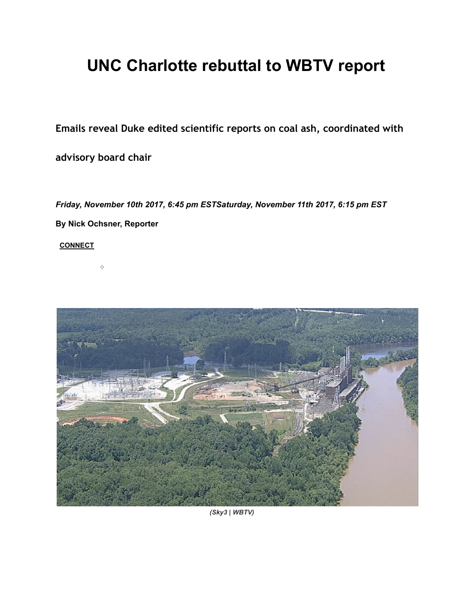# UNC Charlotte rebuttal to WBTV report

Emails reveal Duke edited scientific reports on coal ash, coordinated with

advisory board chair

Friday, November 10th 2017, 6:45 pm ESTSaturday, November 11th 2017, 6:15 pm EST

By Nick Ochsner, Reporter

○

**[CONNECT](http://www.wbtv.com/story/36817611/emails-reveal-duke-edited-scientific-reports-on-coal-ash-coordinated-with-advisory-board-chair#)** 



(Sky3 | WBTV)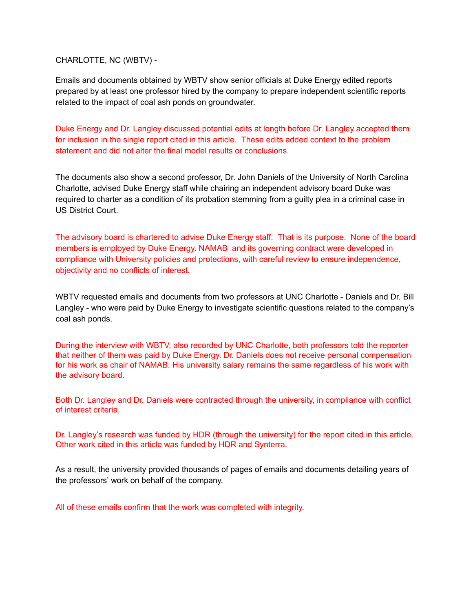#### CHARLOTTE, NC (WBTV) -

Emails and documents obtained by WBTV show senior officials at Duke Energy edited reports prepared by at least one professor hired by the company to prepare independent scientific reports related to the impact of coal ash ponds on groundwater.

Duke Energy and Dr. Langley discussed potential edits at length before Dr. Langley accepted them for inclusion in the single report cited in this article. These edits added context to the problem statement and did not alter the final model results or conclusions.

The documents also show a second professor, Dr. John Daniels of the University of North Carolina Charlotte, advised Duke Energy staff while chairing an independent advisory board Duke was required to charter as a condition of its probation stemming from a guilty plea in a criminal case in US District Court.

The advisory board is chartered to advise Duke Energy staff. That is its purpose. None of the board members is employed by Duke Energy. NAMAB and its governing contract were developed in compliance with University policies and protections, with careful review to ensure independence, objectivity and no conflicts of interest.

WBTV requested emails and documents from two professors at UNC Charlotte - Daniels and Dr. Bill Langley - who were paid by Duke Energy to investigate scientific questions related to the company's coal ash ponds.

During the interview with WBTV, also recorded by UNC Charlotte, both professors told the reporter that neither of them was paid by Duke Energy. Dr. Daniels does not receive personal compensation for his work as chair of NAMAB. His university salary remains the same regardless of his work with the advisory board.

Both Dr. Langley and Dr. Daniels were contracted through the university, in compliance with conflict of interest criteria.

Dr. Langley's research was funded by HDR (through the university) for the report cited in this article. Other work cited in this article was funded by HDR and Synterra.

As a result, the university provided thousands of pages of emails and documents detailing years of the professors' work on behalf of the company.

All of these emails confirm that the work was completed with integrity.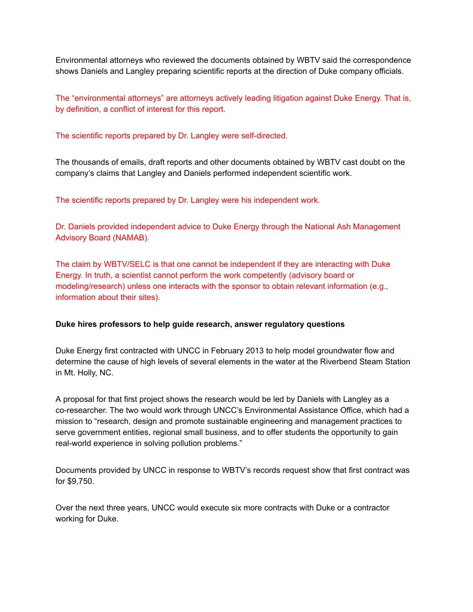Environmental attorneys who reviewed the documents obtained by WBTV said the correspondence shows Daniels and Langley preparing scientific reports at the direction of Duke company officials.

The "environmental attorneys" are attorneys actively leading litigation against Duke Energy. That is, by definition, a conflict of interest for this report.

The scientific reports prepared by Dr. Langley were self-directed.

The thousands of emails, draft reports and other documents obtained by WBTV cast doubt on the company's claims that Langley and Daniels performed independent scientific work.

The scientific reports prepared by Dr. Langley were his independent work.

Dr. Daniels provided independent advice to Duke Energy through the National Ash Management Advisory Board (NAMAB).

The claim by WBTV/SELC is that one cannot be independent if they are interacting with Duke Energy. In truth, a scientist cannot perform the work competently (advisory board or modeling/research) unless one interacts with the sponsor to obtain relevant information (e.g., information about their sites).

#### Duke hires professors to help guide research, answer regulatory questions

Duke Energy first contracted with UNCC in February 2013 to help model groundwater flow and determine the cause of high levels of several elements in the water at the Riverbend Steam Station in Mt. Holly, NC.

A proposal for that first project shows the research would be led by Daniels with Langley as a co-researcher. The two would work through UNCC's Environmental Assistance Office, which had a mission to "research, design and promote sustainable engineering and management practices to serve government entities, regional small business, and to offer students the opportunity to gain real-world experience in solving pollution problems."

Documents provided by UNCC in response to WBTV's records request show that first contract was for \$9,750.

Over the next three years, UNCC would execute six more contracts with Duke or a contractor working for Duke.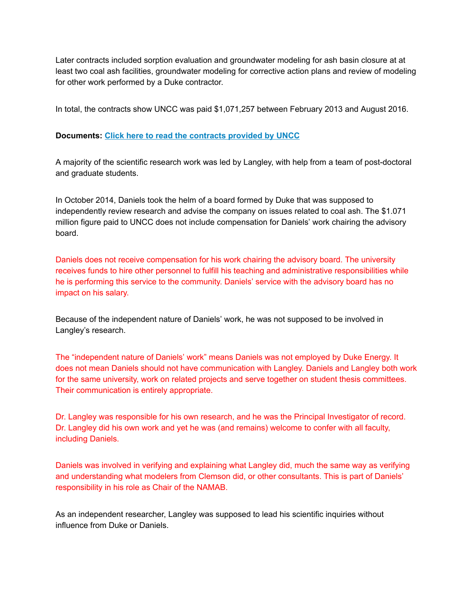Later contracts included sorption evaluation and groundwater modeling for ash basin closure at at least two coal ash facilities, groundwater modeling for corrective action plans and review of modeling for other work performed by a Duke contractor.

In total, the contracts show UNCC was paid \$1,071,257 between February 2013 and August 2016.

# Documents: [Click here to read the contracts provided by UNCC](http://ftpcontent4.worldnow.com/wbtv/pdf/DOC%201%20CONTRACTS.pdf)

A majority of the scientific research work was led by Langley, with help from a team of post-doctoral and graduate students.

In October 2014, Daniels took the helm of a board formed by Duke that was supposed to independently review research and advise the company on issues related to coal ash. The \$1.071 million figure paid to UNCC does not include compensation for Daniels' work chairing the advisory board.

Daniels does not receive compensation for his work chairing the advisory board. The university receives funds to hire other personnel to fulfill his teaching and administrative responsibilities while he is performing this service to the community. Daniels' service with the advisory board has no impact on his salary.

Because of the independent nature of Daniels' work, he was not supposed to be involved in Langley's research.

The "independent nature of Daniels' work" means Daniels was not employed by Duke Energy. It does not mean Daniels should not have communication with Langley. Daniels and Langley both work for the same university, work on related projects and serve together on student thesis committees. Their communication is entirely appropriate.

Dr. Langley was responsible for his own research, and he was the Principal Investigator of record. Dr. Langley did his own work and yet he was (and remains) welcome to confer with all faculty, including Daniels.

Daniels was involved in verifying and explaining what Langley did, much the same way as verifying and understanding what modelers from Clemson did, or other consultants. This is part of Daniels' responsibility in his role as Chair of the NAMAB.

As an independent researcher, Langley was supposed to lead his scientific inquiries without influence from Duke or Daniels.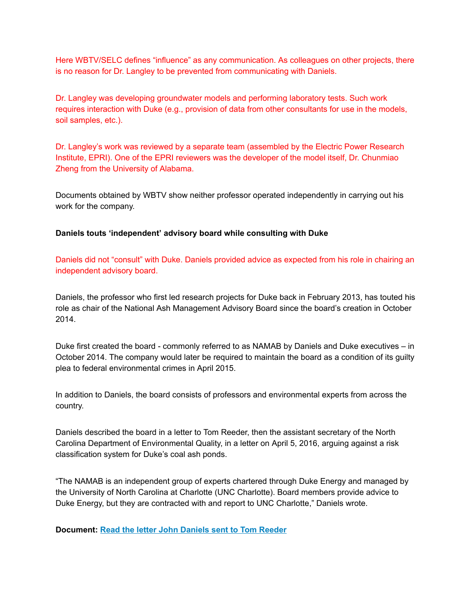Here WBTV/SELC defines "influence" as any communication. As colleagues on other projects, there is no reason for Dr. Langley to be prevented from communicating with Daniels.

Dr. Langley was developing groundwater models and performing laboratory tests. Such work requires interaction with Duke (e.g., provision of data from other consultants for use in the models, soil samples, etc.).

Dr. Langley's work was reviewed by a separate team (assembled by the Electric Power Research Institute, EPRI). One of the EPRI reviewers was the developer of the model itself, Dr. Chunmiao Zheng from the University of Alabama.

Documents obtained by WBTV show neither professor operated independently in carrying out his work for the company.

## Daniels touts 'independent' advisory board while consulting with Duke

Daniels did not "consult" with Duke. Daniels provided advice as expected from his role in chairing an independent advisory board.

Daniels, the professor who first led research projects for Duke back in February 2013, has touted his role as chair of the National Ash Management Advisory Board since the board's creation in October 2014.

Duke first created the board - commonly referred to as NAMAB by Daniels and Duke executives – in October 2014. The company would later be required to maintain the board as a condition of its guilty plea to federal environmental crimes in April 2015.

In addition to Daniels, the board consists of professors and environmental experts from across the country.

Daniels described the board in a letter to Tom Reeder, then the assistant secretary of the North Carolina Department of Environmental Quality, in a letter on April 5, 2016, arguing against a risk classification system for Duke's coal ash ponds.

"The NAMAB is an independent group of experts chartered through Duke Energy and managed by the University of North Carolina at Charlotte (UNC Charlotte). Board members provide advice to Duke Energy, but they are contracted with and report to UNC Charlotte," Daniels wrote.

Document: [Read the letter John Daniels sent to Tom Reeder](http://ftpcontent4.worldnow.com/wbtv/pdf/DOC%202%20DANIELS%20LETTER.pdf)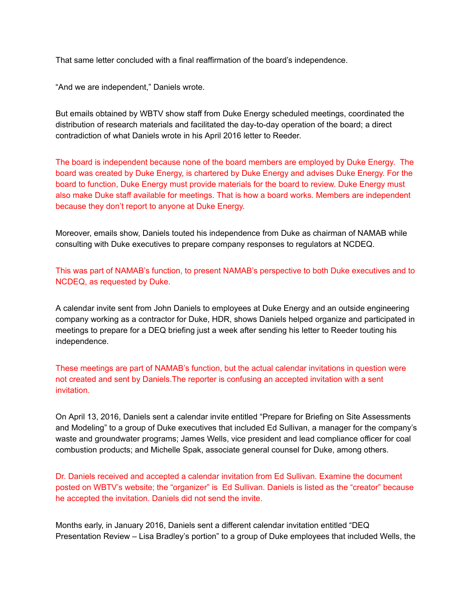That same letter concluded with a final reaffirmation of the board's independence.

"And we are independent," Daniels wrote.

But emails obtained by WBTV show staff from Duke Energy scheduled meetings, coordinated the distribution of research materials and facilitated the day-to-day operation of the board; a direct contradiction of what Daniels wrote in his April 2016 letter to Reeder.

The board is independent because none of the board members are employed by Duke Energy. The board was created by Duke Energy, is chartered by Duke Energy and advises Duke Energy. For the board to function, Duke Energy must provide materials for the board to review. Duke Energy must also make Duke staff available for meetings. That is how a board works. Members are independent because they don't report to anyone at Duke Energy.

Moreover, emails show, Daniels touted his independence from Duke as chairman of NAMAB while consulting with Duke executives to prepare company responses to regulators at NCDEQ.

This was part of NAMAB's function, to present NAMAB's perspective to both Duke executives and to NCDEQ, as requested by Duke.

A calendar invite sent from John Daniels to employees at Duke Energy and an outside engineering company working as a contractor for Duke, HDR, shows Daniels helped organize and participated in meetings to prepare for a DEQ briefing just a week after sending his letter to Reeder touting his independence.

These meetings are part of NAMAB's function, but the actual calendar invitations in question were not created and sent by Daniels.The reporter is confusing an accepted invitation with a sent invitation.

On April 13, 2016, Daniels sent a calendar invite entitled "Prepare for Briefing on Site Assessments and Modeling" to a group of Duke executives that included Ed Sullivan, a manager for the company's waste and groundwater programs; James Wells, vice president and lead compliance officer for coal combustion products; and Michelle Spak, associate general counsel for Duke, among others.

Dr. Daniels received and accepted a calendar invitation from Ed Sullivan. Examine the document posted on WBTV's website; the "organizer" is Ed Sullivan. Daniels is listed as the "creator" because he accepted the invitation. Daniels did not send the invite.

Months early, in January 2016, Daniels sent a different calendar invitation entitled "DEQ Presentation Review – Lisa Bradley's portion" to a group of Duke employees that included Wells, the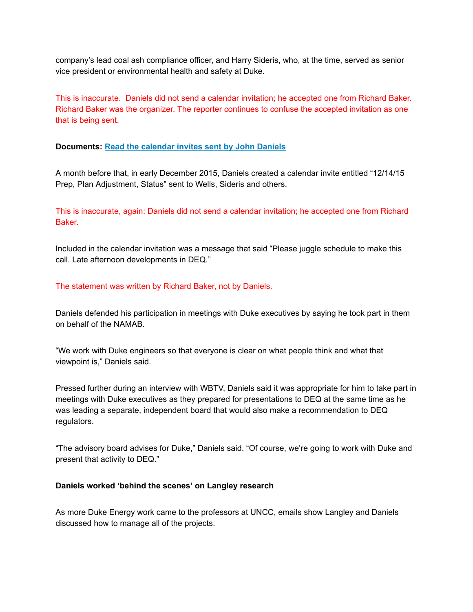company's lead coal ash compliance officer, and Harry Sideris, who, at the time, served as senior vice president or environmental health and safety at Duke.

This is inaccurate. Daniels did not send a calendar invitation; he accepted one from Richard Baker. Richard Baker was the organizer. The reporter continues to confuse the accepted invitation as one that is being sent.

## Documents: [Read the calendar invites sent by John Daniels](http://ftpcontent4.worldnow.com/wbtv/pdf/DOC%203%20CALENDAR%20INVITES.pdf)

A month before that, in early December 2015, Daniels created a calendar invite entitled "12/14/15 Prep, Plan Adjustment, Status" sent to Wells, Sideris and others.

This is inaccurate, again: Daniels did not send a calendar invitation; he accepted one from Richard Baker.

Included in the calendar invitation was a message that said "Please juggle schedule to make this call. Late afternoon developments in DEQ."

The statement was written by Richard Baker, not by Daniels.

Daniels defended his participation in meetings with Duke executives by saying he took part in them on behalf of the NAMAB.

"We work with Duke engineers so that everyone is clear on what people think and what that viewpoint is," Daniels said.

Pressed further during an interview with WBTV, Daniels said it was appropriate for him to take part in meetings with Duke executives as they prepared for presentations to DEQ at the same time as he was leading a separate, independent board that would also make a recommendation to DEQ regulators.

"The advisory board advises for Duke," Daniels said. "Of course, we're going to work with Duke and present that activity to DEQ."

## Daniels worked 'behind the scenes' on Langley research

As more Duke Energy work came to the professors at UNCC, emails show Langley and Daniels discussed how to manage all of the projects.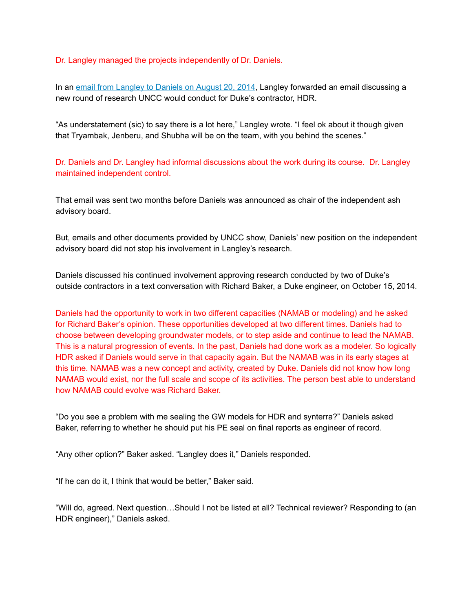Dr. Langley managed the projects independently of Dr. Daniels.

In an email from Langley to Daniels on August 20, 2014, Langley forwarded an email discussing a new round of research UNCC would conduct for Duke's contractor, HDR.

"As understatement (sic) to say there is a lot here," Langley wrote. "I feel ok about it though given that Tryambak, Jenberu, and Shubha will be on the team, with you behind the scenes."

Dr. Daniels and Dr. Langley had informal discussions about the work during its course. Dr. Langley maintained independent control.

That email was sent two months before Daniels was announced as chair of the independent ash advisory board.

But, emails and other documents provided by UNCC show, Daniels' new position on the independent advisory board did not stop his involvement in Langley's research.

Daniels discussed his continued involvement approving research conducted by two of Duke's outside contractors in a text conversation with Richard Baker, a Duke engineer, on October 15, 2014.

Daniels had the opportunity to work in two different capacities (NAMAB or modeling) and he asked for Richard Baker's opinion. These opportunities developed at two different times. Daniels had to choose between developing groundwater models, or to step aside and continue to lead the NAMAB. This is a natural progression of events. In the past, Daniels had done work as a modeler. So logically HDR asked if Daniels would serve in that capacity again. But the NAMAB was in its early stages at this time. NAMAB was a new concept and activity, created by Duke. Daniels did not know how long NAMAB would exist, nor the full scale and scope of its activities. The person best able to understand how NAMAB could evolve was Richard Baker.

"Do you see a problem with me sealing the GW models for HDR and synterra?" Daniels asked Baker, referring to whether he should put his PE seal on final reports as engineer of record.

"Any other option?" Baker asked. "Langley does it," Daniels responded.

"If he can do it, I think that would be better," Baker said.

"Will do, agreed. Next question…Should I not be listed at all? Technical reviewer? Responding to (an HDR engineer)," Daniels asked.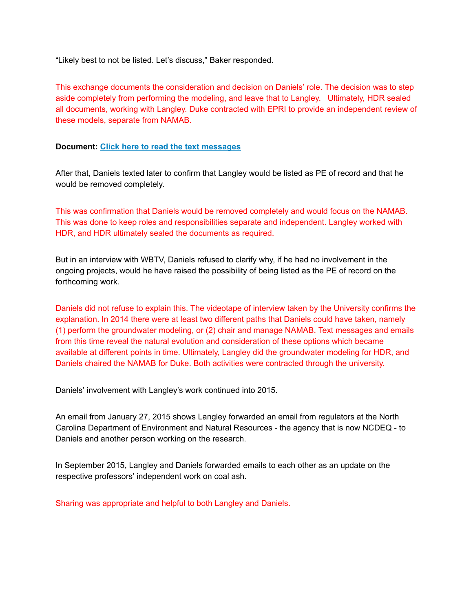"Likely best to not be listed. Let's discuss," Baker responded.

This exchange documents the consideration and decision on Daniels' role. The decision was to step aside completely from performing the modeling, and leave that to Langley. Ultimately, HDR sealed all documents, working with Langley. Duke contracted with EPRI to provide an independent review of these models, separate from NAMAB.

## Document: [Click here to read the text messages](http://ftpcontent4.worldnow.com/wbtv/pdf/DOC%205%20TEXT%20MESSAGES.pdf)

After that, Daniels texted later to confirm that Langley would be listed as PE of record and that he would be removed completely.

This was confirmation that Daniels would be removed completely and would focus on the NAMAB. This was done to keep roles and responsibilities separate and independent. Langley worked with HDR, and HDR ultimately sealed the documents as required.

But in an interview with WBTV, Daniels refused to clarify why, if he had no involvement in the ongoing projects, would he have raised the possibility of being listed as the PE of record on the forthcoming work.

Daniels did not refuse to explain this. The videotape of interview taken by the University confirms the explanation. In 2014 there were at least two different paths that Daniels could have taken, namely (1) perform the groundwater modeling, or (2) chair and manage NAMAB. Text messages and emails from this time reveal the natural evolution and consideration of these options which became available at different points in time. Ultimately, Langley did the groundwater modeling for HDR, and Daniels chaired the NAMAB for Duke. Both activities were contracted through the university.

Daniels' involvement with Langley's work continued into 2015.

An email from January 27, 2015 shows Langley forwarded an email from regulators at the North Carolina Department of Environment and Natural Resources - the agency that is now NCDEQ - to Daniels and another person working on the research.

In September 2015, Langley and Daniels forwarded emails to each other as an update on the respective professors' independent work on coal ash.

Sharing was appropriate and helpful to both Langley and Daniels.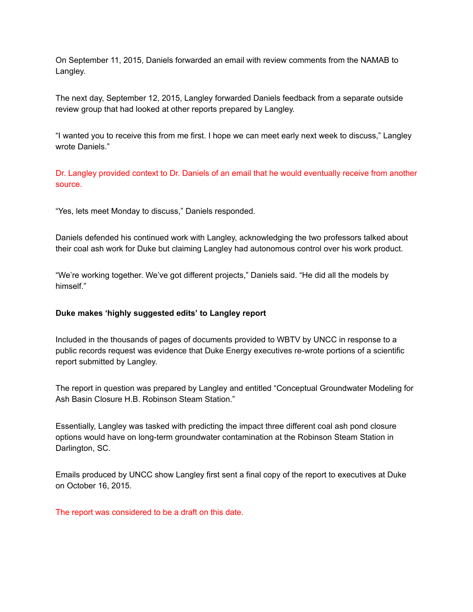On September 11, 2015, Daniels forwarded an email with review comments from the NAMAB to Langley.

The next day, September 12, 2015, Langley forwarded Daniels feedback from a separate outside review group that had looked at other reports prepared by Langley.

"I wanted you to receive this from me first. I hope we can meet early next week to discuss," Langley wrote Daniels."

Dr. Langley provided context to Dr. Daniels of an email that he would eventually receive from another source.

"Yes, lets meet Monday to discuss," Daniels responded.

Daniels defended his continued work with Langley, acknowledging the two professors talked about their coal ash work for Duke but claiming Langley had autonomous control over his work product.

"We're working together. We've got different projects," Daniels said. "He did all the models by himself."

## Duke makes 'highly suggested edits' to Langley report

Included in the thousands of pages of documents provided to WBTV by UNCC in response to a public records request was evidence that Duke Energy executives re-wrote portions of a scientific report submitted by Langley.

The report in question was prepared by Langley and entitled "Conceptual Groundwater Modeling for Ash Basin Closure H.B. Robinson Steam Station."

Essentially, Langley was tasked with predicting the impact three different coal ash pond closure options would have on long-term groundwater contamination at the Robinson Steam Station in Darlington, SC.

Emails produced by UNCC show Langley first sent a final copy of the report to executives at Duke on October 16, 2015.

The report was considered to be a draft on this date.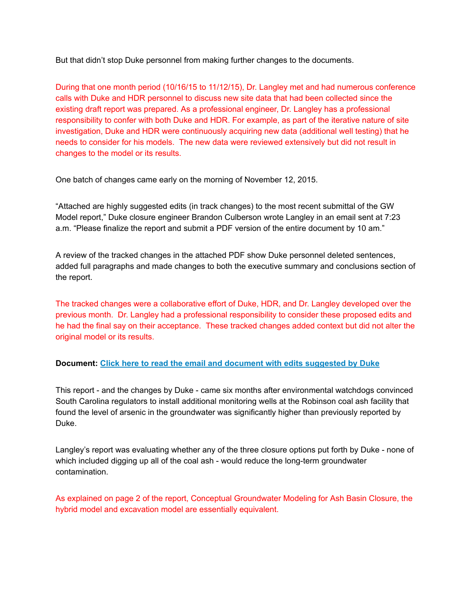But that didn't stop Duke personnel from making further changes to the documents.

During that one month period (10/16/15 to 11/12/15), Dr. Langley met and had numerous conference calls with Duke and HDR personnel to discuss new site data that had been collected since the existing draft report was prepared. As a professional engineer, Dr. Langley has a professional responsibility to confer with both Duke and HDR. For example, as part of the iterative nature of site investigation, Duke and HDR were continuously acquiring new data (additional well testing) that he needs to consider for his models. The new data were reviewed extensively but did not result in changes to the model or its results.

One batch of changes came early on the morning of November 12, 2015.

"Attached are highly suggested edits (in track changes) to the most recent submittal of the GW Model report," Duke closure engineer Brandon Culberson wrote Langley in an email sent at 7:23 a.m. "Please finalize the report and submit a PDF version of the entire document by 10 am."

A review of the tracked changes in the attached PDF show Duke personnel deleted sentences, added full paragraphs and made changes to both the executive summary and conclusions section of the report.

The tracked changes were a collaborative effort of Duke, HDR, and Dr. Langley developed over the previous month. Dr. Langley had a professional responsibility to consider these proposed edits and he had the final say on their acceptance. These tracked changes added context but did not alter the original model or its results.

# Document: [Click here to read the email and document with edits suggested by Duke](http://ftpcontent4.worldnow.com/wbtv/pdf/DOC%206%20REPORT.pdf)

This report - and the changes by Duke - came six months after environmental watchdogs convinced South Carolina regulators to install additional monitoring wells at the Robinson coal ash facility that found the level of arsenic in the groundwater was significantly higher than previously reported by Duke.

Langley's report was evaluating whether any of the three closure options put forth by Duke - none of which included digging up all of the coal ash - would reduce the long-term groundwater contamination.

As explained on page 2 of the report, Conceptual Groundwater Modeling for Ash Basin Closure, the hybrid model and excavation model are essentially equivalent.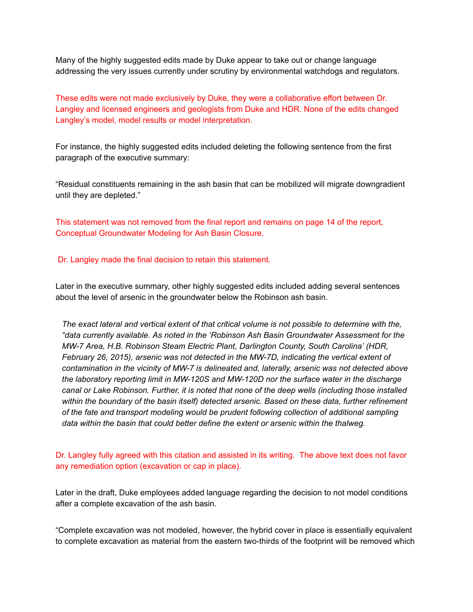Many of the highly suggested edits made by Duke appear to take out or change language addressing the very issues currently under scrutiny by environmental watchdogs and regulators.

These edits were not made exclusively by Duke, they were a collaborative effort between Dr. Langley and licensed engineers and geologists from Duke and HDR. None of the edits changed Langley's model, model results or model interpretation.

For instance, the highly suggested edits included deleting the following sentence from the first paragraph of the executive summary:

"Residual constituents remaining in the ash basin that can be mobilized will migrate downgradient until they are depleted."

This statement was not removed from the final report and remains on page 14 of the report, Conceptual Groundwater Modeling for Ash Basin Closure.

#### Dr. Langley made the final decision to retain this statement.

Later in the executive summary, other highly suggested edits included adding several sentences about the level of arsenic in the groundwater below the Robinson ash basin.

The exact lateral and vertical extent of that critical volume is not possible to determine with the, "data currently available. As noted in the 'Robinson Ash Basin Groundwater Assessment for the MW-7 Area, H.B. Robinson Steam Electric Plant, Darlington County, South Carolina' (HDR, February 26, 2015), arsenic was not detected in the MW-7D, indicating the vertical extent of contamination in the vicinity of MW-7 is delineated and, laterally, arsenic was not detected above the laboratory reporting limit in MW-120S and MW-120D nor the surface water in the discharge canal or Lake Robinson. Further, it is noted that none of the deep wells (including those installed within the boundary of the basin itself) detected arsenic. Based on these data, further refinement of the fate and transport modeling would be prudent following collection of additional sampling data within the basin that could better define the extent or arsenic within the thalweg.

Dr. Langley fully agreed with this citation and assisted in its writing. The above text does not favor any remediation option (excavation or cap in place).

Later in the draft, Duke employees added language regarding the decision to not model conditions after a complete excavation of the ash basin.

"Complete excavation was not modeled, however, the hybrid cover in place is essentially equivalent to complete excavation as material from the eastern two-thirds of the footprint will be removed which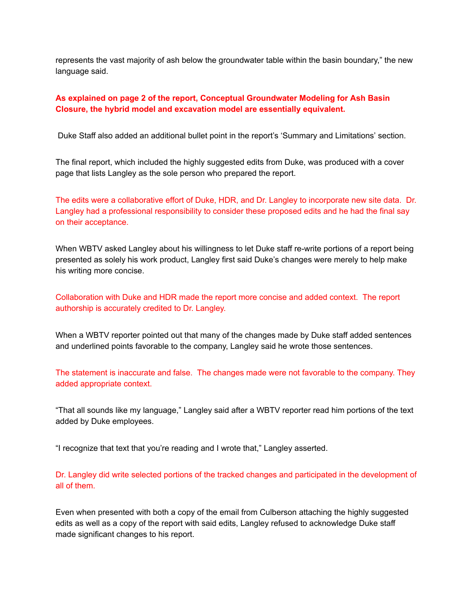represents the vast majority of ash below the groundwater table within the basin boundary," the new language said.

# As explained on page 2 of the report, Conceptual Groundwater Modeling for Ash Basin Closure, the hybrid model and excavation model are essentially equivalent.

Duke Staff also added an additional bullet point in the report's 'Summary and Limitations' section.

The final report, which included the highly suggested edits from Duke, was produced with a cover page that lists Langley as the sole person who prepared the report.

The edits were a collaborative effort of Duke, HDR, and Dr. Langley to incorporate new site data. Dr. Langley had a professional responsibility to consider these proposed edits and he had the final say on their acceptance.

When WBTV asked Langley about his willingness to let Duke staff re-write portions of a report being presented as solely his work product, Langley first said Duke's changes were merely to help make his writing more concise.

Collaboration with Duke and HDR made the report more concise and added context. The report authorship is accurately credited to Dr. Langley.

When a WBTV reporter pointed out that many of the changes made by Duke staff added sentences and underlined points favorable to the company, Langley said he wrote those sentences.

The statement is inaccurate and false. The changes made were not favorable to the company. They added appropriate context.

"That all sounds like my language," Langley said after a WBTV reporter read him portions of the text added by Duke employees.

"I recognize that text that you're reading and I wrote that," Langley asserted.

Dr. Langley did write selected portions of the tracked changes and participated in the development of all of them.

Even when presented with both a copy of the email from Culberson attaching the highly suggested edits as well as a copy of the report with said edits, Langley refused to acknowledge Duke staff made significant changes to his report.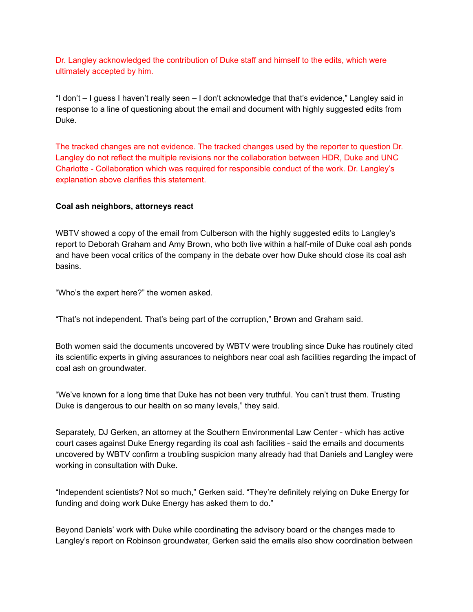Dr. Langley acknowledged the contribution of Duke staff and himself to the edits, which were ultimately accepted by him.

"I don't – I guess I haven't really seen – I don't acknowledge that that's evidence," Langley said in response to a line of questioning about the email and document with highly suggested edits from Duke.

The tracked changes are not evidence. The tracked changes used by the reporter to question Dr. Langley do not reflect the multiple revisions nor the collaboration between HDR, Duke and UNC Charlotte - Collaboration which was required for responsible conduct of the work. Dr. Langley's explanation above clarifies this statement.

## Coal ash neighbors, attorneys react

WBTV showed a copy of the email from Culberson with the highly suggested edits to Langley's report to Deborah Graham and Amy Brown, who both live within a half-mile of Duke coal ash ponds and have been vocal critics of the company in the debate over how Duke should close its coal ash basins.

"Who's the expert here?" the women asked.

"That's not independent. That's being part of the corruption," Brown and Graham said.

Both women said the documents uncovered by WBTV were troubling since Duke has routinely cited its scientific experts in giving assurances to neighbors near coal ash facilities regarding the impact of coal ash on groundwater.

"We've known for a long time that Duke has not been very truthful. You can't trust them. Trusting Duke is dangerous to our health on so many levels," they said.

Separately, DJ Gerken, an attorney at the Southern Environmental Law Center - which has active court cases against Duke Energy regarding its coal ash facilities - said the emails and documents uncovered by WBTV confirm a troubling suspicion many already had that Daniels and Langley were working in consultation with Duke.

"Independent scientists? Not so much," Gerken said. "They're definitely relying on Duke Energy for funding and doing work Duke Energy has asked them to do."

Beyond Daniels' work with Duke while coordinating the advisory board or the changes made to Langley's report on Robinson groundwater, Gerken said the emails also show coordination between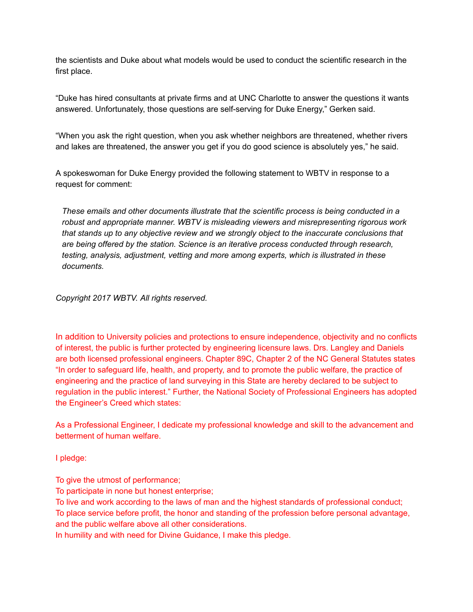the scientists and Duke about what models would be used to conduct the scientific research in the first place.

"Duke has hired consultants at private firms and at UNC Charlotte to answer the questions it wants answered. Unfortunately, those questions are self-serving for Duke Energy," Gerken said.

"When you ask the right question, when you ask whether neighbors are threatened, whether rivers and lakes are threatened, the answer you get if you do good science is absolutely yes," he said.

A spokeswoman for Duke Energy provided the following statement to WBTV in response to a request for comment:

These emails and other documents illustrate that the scientific process is being conducted in a robust and appropriate manner. WBTV is misleading viewers and misrepresenting rigorous work that stands up to any objective review and we strongly object to the inaccurate conclusions that are being offered by the station. Science is an iterative process conducted through research, testing, analysis, adjustment, vetting and more among experts, which is illustrated in these documents.

Copyright 2017 WBTV. All rights reserved.

In addition to University policies and protections to ensure independence, objectivity and no conflicts of interest, the public is further protected by engineering licensure laws. Drs. Langley and Daniels are both licensed professional engineers. Chapter 89C, Chapter 2 of the NC General Statutes states "In order to safeguard life, health, and property, and to promote the public welfare, the practice of engineering and the practice of land surveying in this State are hereby declared to be subject to regulation in the public interest." Further, the National Society of Professional Engineers has adopted the Engineer's Creed which states:

As a Professional Engineer, I dedicate my professional knowledge and skill to the advancement and betterment of human welfare.

I pledge:

To give the utmost of performance;

To participate in none but honest enterprise;

To live and work according to the laws of man and the highest standards of professional conduct; To place service before profit, the honor and standing of the profession before personal advantage, and the public welfare above all other considerations.

In humility and with need for Divine Guidance, I make this pledge.